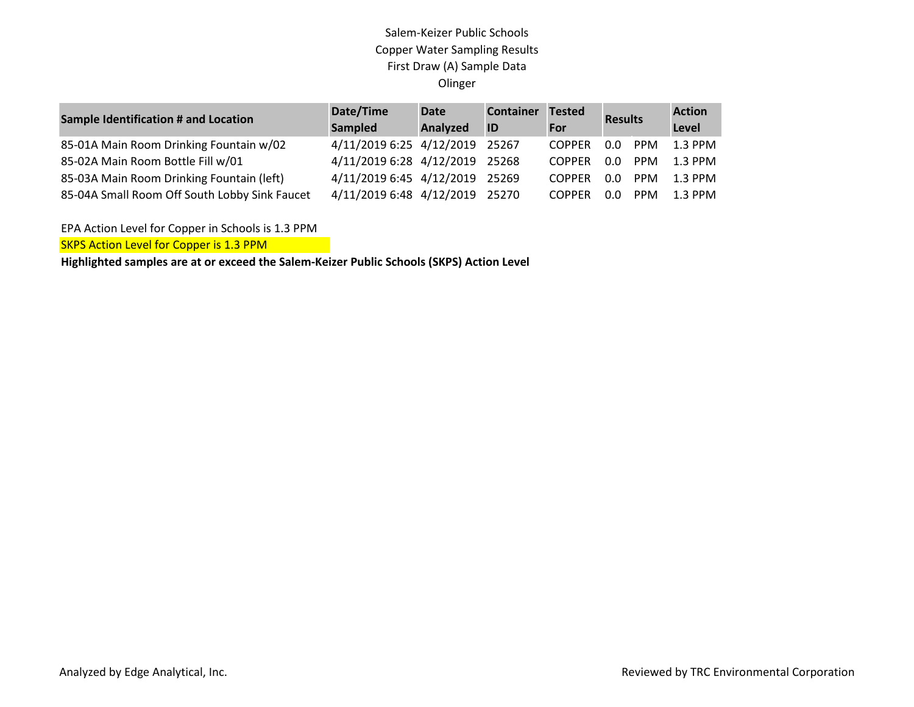## Salem-Keizer Public Schools Copper Water Sampling Results First Draw (A) Sample Data Olinger

| <b>Sample Identification # and Location</b>   | Date/Time<br><b>Sampled</b>    | <b>Date</b><br>Analyzed | <b>Container</b><br>ID | Tested<br>For | <b>Results</b> |            | <b>Action</b><br>Level |
|-----------------------------------------------|--------------------------------|-------------------------|------------------------|---------------|----------------|------------|------------------------|
| 85-01A Main Room Drinking Fountain w/02       | 4/11/2019 6:25 4/12/2019 25267 |                         |                        | <b>COPPER</b> | $0.0^-$        | PPM        | 1.3 PPM                |
| 85-02A Main Room Bottle Fill w/01             | 4/11/2019 6:28 4/12/2019 25268 |                         |                        | <b>COPPER</b> | 0.O            | <b>PPM</b> | 1.3 PPM                |
| 85-03A Main Room Drinking Fountain (left)     | 4/11/2019 6:45 4/12/2019 25269 |                         |                        | <b>COPPER</b> | $0.0^-$        | PPM        | 1.3 PPM                |
| 85-04A Small Room Off South Lobby Sink Faucet | 4/11/2019 6:48 4/12/2019 25270 |                         |                        | <b>COPPER</b> | n n            | PPM        | 1.3 PPM                |

EPA Action Level for Copper in Schools is 1.3 PPM

**SKPS Action Level for Copper is 1.3 PPM** 

**Highlighted samples are at or exceed the Salem-Keizer Public Schools (SKPS) Action Level**